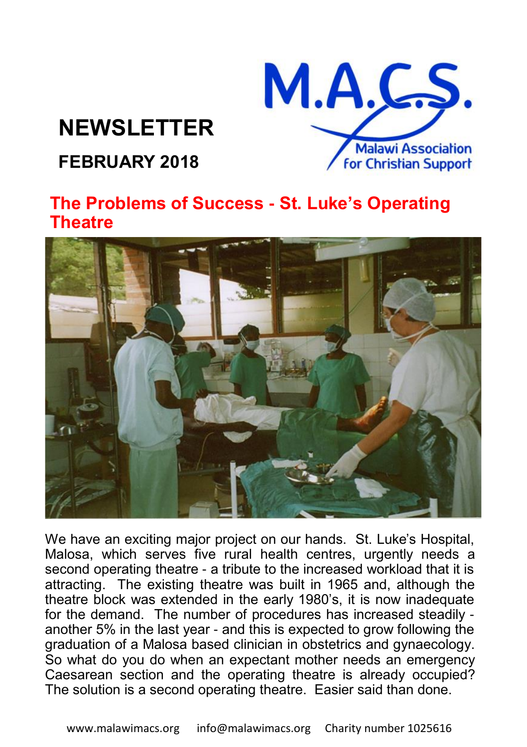# **NEWSLETTER**



## **FEBRUARY 2018**

### **The Problems of Success - St. Luke's Operating Theatre**



We have an exciting major project on our hands. St. Luke's Hospital, Malosa, which serves five rural health centres, urgently needs a second operating theatre - a tribute to the increased workload that it is attracting. The existing theatre was built in 1965 and, although the theatre block was extended in the early 1980's, it is now inadequate for the demand. The number of procedures has increased steadily another 5% in the last year - and this is expected to grow following the graduation of a Malosa based clinician in obstetrics and gynaecology. So what do you do when an expectant mother needs an emergency Caesarean section and the operating theatre is already occupied? The solution is a second operating theatre. Easier said than done.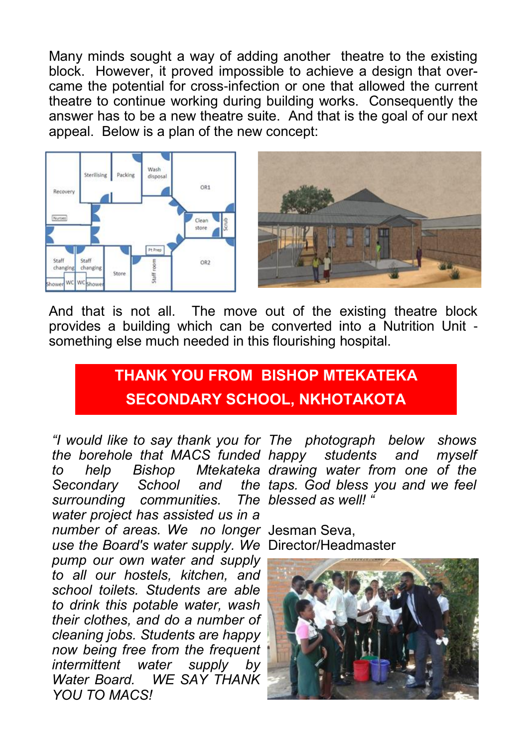Many minds sought a way of adding another theatre to the existing block. However, it proved impossible to achieve a design that overcame the potential for cross-infection or one that allowed the current theatre to continue working during building works. Consequently the answer has to be a new theatre suite. And that is the goal of our next appeal. Below is a plan of the new concept:



And that is not all. The move out of the existing theatre block provides a building which can be converted into a Nutrition Unit something else much needed in this flourishing hospital.

## **THANK YOU FROM BISHOP MTEKATEKA SECONDARY SCHOOL, NKHOTAKOTA**

*the borehole that MACS funded*  **Secondary School** *surrounding communities. water project has assisted us in a number of areas. We no longer*  Jesman Seva, *use the Board's water supply. We*  Director/Headmaster *pump our own water and supply to all our hostels, kitchen, and school toilets. Students are able to drink this potable water, wash their clothes, and do a number of cleaning jobs. Students are happy now being free from the frequent intermittent water supply by Water Board. WE SAY THANK YOU TO MACS!*

*"I would like to say thank you for The photograph below shows to help Bishop Mtekateka drawing water from one of the happy students and myself taps. God bless you and we feel blessed as well! "*

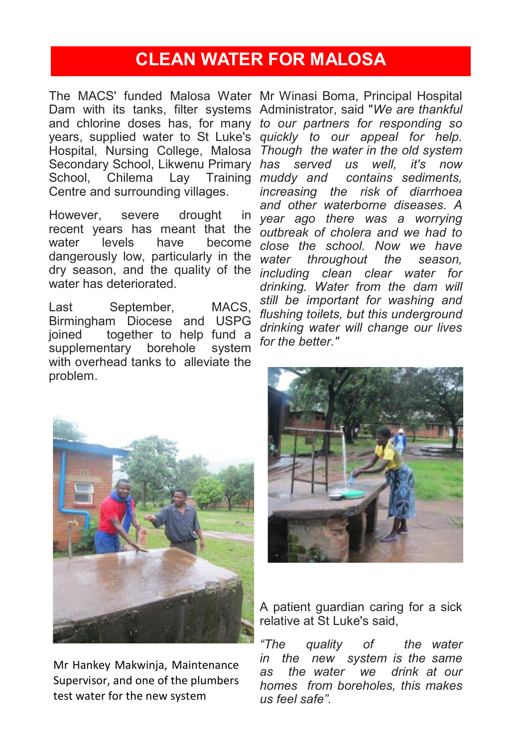## **CLEAN WATER FOR MALOSA**

The MACS' funded Malosa Water Mr Winasi Boma, Principal Hospital Dam with its tanks, filter systems Administrator, said "*We are thankful*  and chlorine doses has, for many *to our partners for responding so*  years, supplied water to St Luke's *quickly to our appeal for help.*  Hospital, Nursing College, Malosa *Though the water in the old system*  Secondary School, Likwenu Primary *has served us well, it's now*  School. Chilema Lav Training *muddy and* Centre and surrounding villages.

However, severe drought recent years has meant that the water levels have become dangerously low, particularly in the *water throughout the season,*  dry season, and the quality of the *including clean clear water for*  water has deteriorated.

Last September, MACS, Birmingham Diocese and USPG joined together to help fund a supplementary borehole system with overhead tanks to alleviate the problem.

*muddy and contains sediments, increasing the risk of diarrhoea and other waterborne diseases. A year ago there was a worrying outbreak of cholera and we had to close the school. Now we have drinking. Water from the dam will still be important for washing and flushing toilets, but this underground drinking water will change our lives for the better."* 



Mr Hankey Makwinja, Maintenance Supervisor, and one of the plumbers test water for the new system



A patient guardian caring for a sick relative at St Luke's said,

*"The quality of the water in the new system is the same as the water we drink at our homes from boreholes, this makes us feel safe".*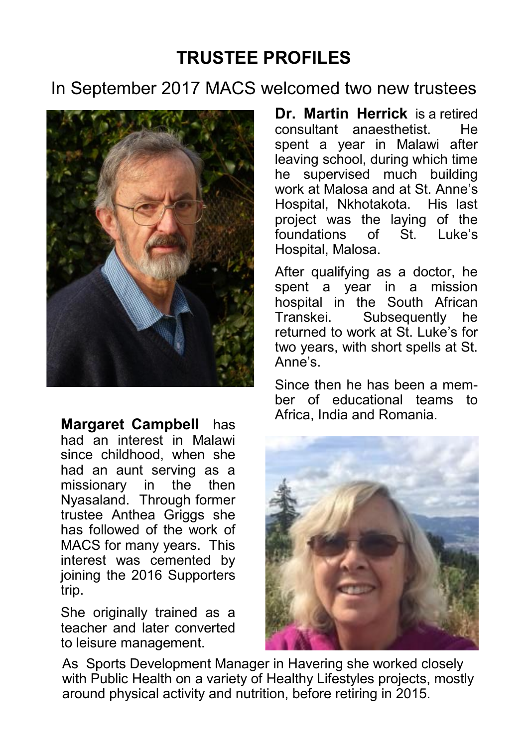## **TRUSTEE PROFILES**

### In September 2017 MACS welcomed two new trustees



**Margaret Campbell** has had an interest in Malawi since childhood, when she had an aunt serving as a missionary in the then Nyasaland. Through former trustee Anthea Griggs she has followed of the work of MACS for many years. This interest was cemented by joining the 2016 Supporters trip.

She originally trained as a teacher and later converted to leisure management.

**Dr. Martin Herrick** is a retired consultant anaesthetist. He spent a year in Malawi after leaving school, during which time he supervised much building work at Malosa and at St. Anne's Hospital, Nkhotakota. His last project was the laying of the<br>foundations of St Luke's foundations Hospital, Malosa.

After qualifying as a doctor, he spent a year in a mission hospital in the South African Transkei. Subsequently he returned to work at St. Luke's for two years, with short spells at St. Anne's.

Since then he has been a member of educational teams to Africa, India and Romania.



As Sports Development Manager in Havering she worked closely with Public Health on a variety of Healthy Lifestyles projects, mostly around physical activity and nutrition, before retiring in 2015.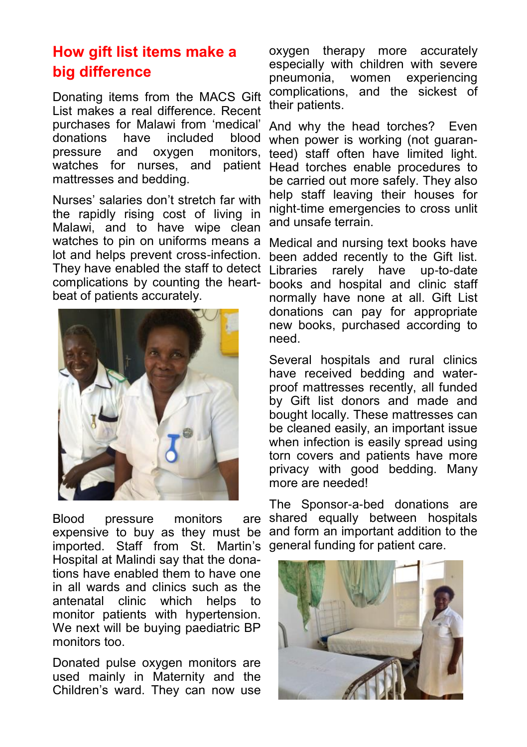### **How gift list items make a big difference**

Donating items from the MACS Gift List makes a real difference. Recent purchases for Malawi from 'medical' donations have included blood pressure and oxygen monitors, watches for nurses, and patient mattresses and bedding.

Nurses' salaries don't stretch far with the rapidly rising cost of living in Malawi, and to have wipe clean watches to pin on uniforms means a lot and helps prevent cross-infection. They have enabled the staff to detect complications by counting the heartbeat of patients accurately.



Blood pressure monitors are expensive to buy as they must be imported. Staff from St. Martin's general funding for patient care.Hospital at Malindi say that the donations have enabled them to have one in all wards and clinics such as the antenatal clinic which helps to monitor patients with hypertension. We next will be buying paediatric BP monitors too.

Donated pulse oxygen monitors are used mainly in Maternity and the Children's ward. They can now use

oxygen therapy more accurately especially with children with severe pneumonia, women experiencing complications, and the sickest of their patients.

And why the head torches? Even when power is working (not guaranteed) staff often have limited light. Head torches enable procedures to be carried out more safely. They also help staff leaving their houses for night-time emergencies to cross unlit and unsafe terrain.

Medical and nursing text books have been added recently to the Gift list. Libraries rarely have up-to-date books and hospital and clinic staff normally have none at all. Gift List donations can pay for appropriate new books, purchased according to need.

Several hospitals and rural clinics have received bedding and waterproof mattresses recently, all funded by Gift list donors and made and bought locally. These mattresses can be cleaned easily, an important issue when infection is easily spread using torn covers and patients have more privacy with good bedding. Many more are needed!

The Sponsor-a-bed donations are shared equally between hospitals and form an important addition to the

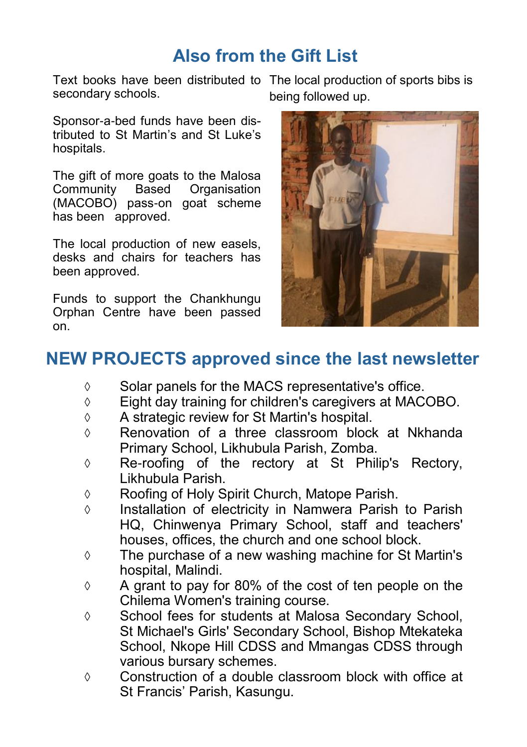## **Also from the Gift List**

Text books have been distributed to The local production of sports bibs is secondary schools.

Sponsor-a-bed funds have been distributed to St Martin's and St Luke's hospitals.

The gift of more goats to the Malosa Community Based Organisation (MACOBO) pass-on goat scheme has been approved.

The local production of new easels, desks and chairs for teachers has been approved.

Funds to support the Chankhungu Orphan Centre have been passed on.

being followed up.



## **NEW PROJECTS approved since the last newsletter**

- $\Diamond$  Solar panels for the MACS representative's office.
- Eight day training for children's caregivers at MACOBO.
- $\Diamond$  A strategic review for St Martin's hospital.
- $\Diamond$  Renovation of a three classroom block at Nkhanda Primary School, Likhubula Parish, Zomba.
- Re-roofing of the rectory at St Philip's Rectory, Likhubula Parish.
- Roofing of Holy Spirit Church, Matope Parish.
- $\Diamond$  Installation of electricity in Namwera Parish to Parish HQ, Chinwenya Primary School, staff and teachers' houses, offices, the church and one school block.
- $\Diamond$  The purchase of a new washing machine for St Martin's hospital, Malindi.
- $\Diamond$  A grant to pay for 80% of the cost of ten people on the Chilema Women's training course.
- $\Diamond$  School fees for students at Malosa Secondary School, St Michael's Girls' Secondary School, Bishop Mtekateka School, Nkope Hill CDSS and Mmangas CDSS through various bursary schemes.
- $\Diamond$  Construction of a double classroom block with office at St Francis' Parish, Kasungu.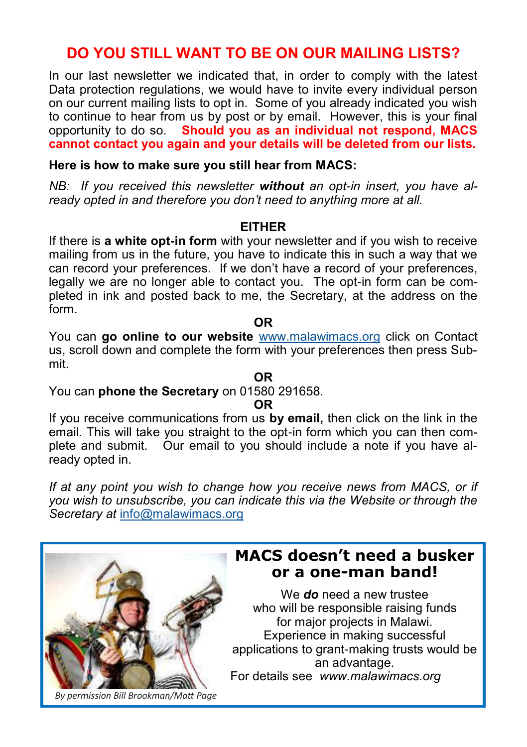### **DO YOU STILL WANT TO BE ON OUR MAILING LISTS?**

In our last newsletter we indicated that, in order to comply with the latest Data protection regulations, we would have to invite every individual person on our current mailing lists to opt in. Some of you already indicated you wish to continue to hear from us by post or by email. However, this is your final opportunity to do so. **Should you as an individual not respond, MACS cannot contact you again and your details will be deleted from our lists.**

#### **Here is how to make sure you still hear from MACS:**

*NB: If you received this newsletter without an opt-in insert, you have already opted in and therefore you don't need to anything more at all.* 

#### **EITHER**

If there is **a white opt-in form** with your newsletter and if you wish to receive mailing from us in the future, you have to indicate this in such a way that we can record your preferences. If we don't have a record of your preferences, legally we are no longer able to contact you. The opt-in form can be completed in ink and posted back to me, the Secretary, at the address on the form.

You can **go online to our website** [www.malawimacs.org](http://www.malawimacs.org) click on Contact us, scroll down and complete the form with your preferences then press Submit.

**OR**

You can **phone the Secretary** on 01580 291658.

#### **OR**

If you receive communications from us **by email,** then click on the link in the email. This will take you straight to the opt-in form which you can then complete and submit. Our email to you should include a note if you have already opted in.

*If at any point you wish to change how you receive news from MACS, or if you wish to unsubscribe, you can indicate this via the Website or through the Secretary at* [info@malawimacs.org](mailto:info@malawimacs.org)

### **MACS doesn't need a busker or a one-man band!**

We *do* need a new trustee who will be responsible raising funds for major projects in Malawi. Experience in making successful applications to grant-making trusts would be an advantage. For details see *www.malawimacs.org* 

*By permission Bill Brookman/Matt Page*

# **OR**